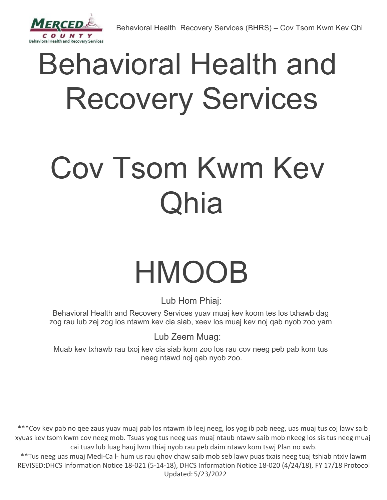

# Behavioral Health and Recovery Services

# Cov Tsom Kwm Kev Qhia

# HMOOB

Lub Hom Phiaj:

Behavioral Health and Recovery Services yuav muaj kev koom tes los txhawb dag zog rau lub zej zog los ntawm kev cia siab, xeev los muaj kev noj qab nyob zoo yam

Lub Zeem Muag:

Muab kev txhawb rau txoj kev cia siab kom zoo los rau cov neeg peb pab kom tus neeg ntawd noj qab nyob zoo.

\*\*\*Cov kev pab no qee zaus yuav muaj pab los ntawm ib leej neeg, los yog ib pab neeg, uas muaj tus coj lawv saib xyuas kev tsom kwm cov neeg mob. Tsuas yog tus neeg uas muaj ntaub ntawv saib mob nkeeg los sis tus neeg muaj cai tuav lub luag hauj lwm thiaj nyob rau peb daim ntawv kom tswj Plan no xwb.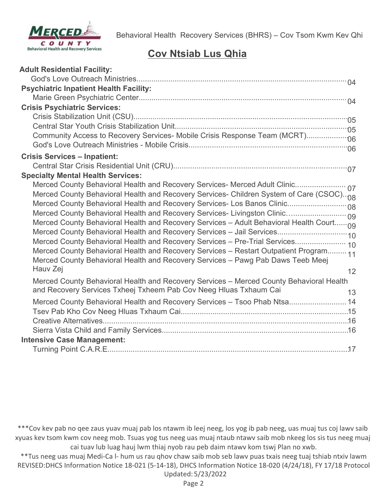

# **Cov Ntsiab Lus Qhia**

| <b>Adult Residential Facility:</b>                                                       |    |
|------------------------------------------------------------------------------------------|----|
|                                                                                          |    |
| <b>Psychiatric Inpatient Health Facility:</b>                                            |    |
|                                                                                          |    |
| <b>Crisis Psychiatric Services:</b>                                                      |    |
|                                                                                          |    |
|                                                                                          |    |
| Community Access to Recovery Services- Mobile Crisis Response Team (MCRT)                |    |
|                                                                                          |    |
| <b>Crisis Services - Inpatient:</b>                                                      |    |
|                                                                                          |    |
| <b>Specialty Mental Health Services:</b>                                                 |    |
| Merced County Behavioral Health and Recovery Services- Merced Adult Clinic 07            |    |
| Merced County Behavioral Health and Recovery Services- Children System of Care (CSOC) 08 |    |
|                                                                                          |    |
|                                                                                          |    |
| Merced County Behavioral Health and Recovery Services - Adult Behavioral Health Court09  |    |
|                                                                                          |    |
| Merced County Behavioral Health and Recovery Services - Pre-Trial Services 10            |    |
| Merced County Behavioral Health and Recovery Services - Restart Outpatient Program 11    |    |
| Merced County Behavioral Health and Recovery Services - Pawg Pab Daws Teeb Meej          |    |
| Hauv Zej                                                                                 | 12 |
| Merced County Behavioral Health and Recovery Services - Merced County Behavioral Health  |    |
| and Recovery Services Txheej Txheem Pab Cov Neeg Hluas Txhaum Cai                        | 13 |
| Merced County Behavioral Health and Recovery Services - Tsoo Phab Ntsa 14                |    |
|                                                                                          |    |
|                                                                                          |    |
|                                                                                          |    |
| <b>Intensive Case Management:</b>                                                        |    |
|                                                                                          |    |

\*\*\*Cov kev pab no qee zaus yuav muaj pab los ntawm ib leej neeg, los yog ib pab neeg, uas muaj tus coj lawv saib xyuas kev tsom kwm cov neeg mob. Tsuas yog tus neeg uas muaj ntaub ntawv saib mob nkeeg los sis tus neeg muaj cai tuav lub luag hauj lwm thiaj nyob rau peb daim ntawv kom tswj Plan no xwb.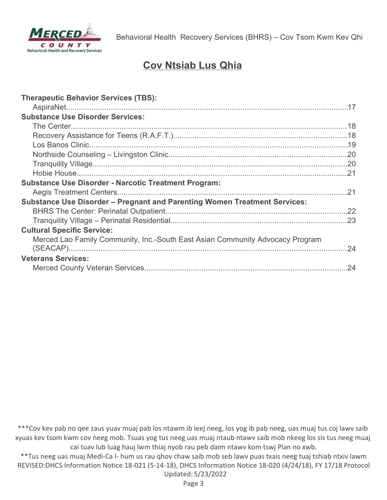

# **Cov Ntsiab Lus Qhia**

\*\*\*Cov kev pab no qee zaus yuav muaj pab los ntawm ib leej neeg, los yog ib pab neeg, uas muaj tus coj lawv saib xyuas kev tsom kwm cov neeg mob. Tsuas yog tus neeg uas muaj ntaub ntawv saib mob nkeeg los sis tus neeg muaj cai tuav lub luag hauj lwm thiaj nyob rau peb daim ntawv kom tswj Plan no xwb.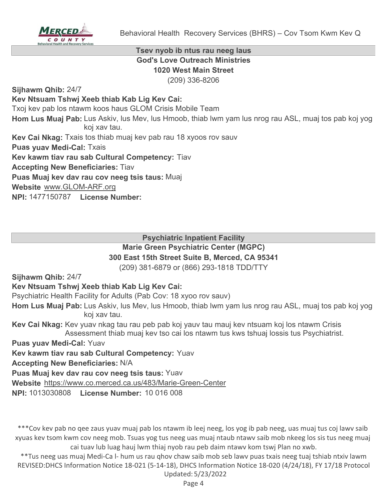

#### **Tsev nyob ib ntus rau neeg laus God's Love Outreach Ministries 1020 West Main Street** (209) 336-8206

**Sijhawm Qhib:** 24/7

**Kev Ntsuam Tshwj Xeeb thiab Kab Lig Kev Cai:**

Txoj kev pab los ntawm koos haus GLOM Crisis Mobile Team

Hom Lus Muaj Pab: Lus Askiv, lus Mev, lus Hmoob, thiab lwm yam lus nrog rau ASL, muaj tos pab koj yog koj xav tau.

**Kev Cai Nkag:** Txais tos thiab muaj kev pab rau 18 xyoos rov sauv

**Puas yuav Medi-Cal:** Txais

**Kev kawm tiav rau sab Cultural Competency:** Tiav

**Accepting New Beneficiaries:** Tiav

**Puas Muaj kev dav rau cov neeg tsis taus:** Muaj

**Website** www.GLOM-ARF.org

**NPI:** 1477150787 **License Number:**

# **Psychiatric Inpatient Facility**

# **Marie Green Psychiatric Center (MGPC)**

# **300 East 15th Street Suite B, Merced, CA 95341**

(209) 381-6879 or (866) 293-1818 TDD/TTY

**Sijhawm Qhib:** 24/7

# **Kev Ntsuam Tshwj Xeeb thiab Kab Lig Kev Cai:**

Psychiatric Health Facility for Adults (Pab Cov: 18 xyoo rov sauv)

Hom Lus Muaj Pab: Lus Askiv, lus Mev, lus Hmoob, thiab lwm yam lus nrog rau ASL, muaj tos pab koj yog koj xav tau.

**Kev Cai Nkag:** Kev yuav nkag tau rau peb pab koj yauv tau mauj kev ntsuam koj los ntawm Crisis Assessment thiab muaj kev tso cai los ntawm tus kws tshuaj lossis tus Psychiatrist.

**Puas yuav Medi-Cal:** Yuav

**Kev kawm tiav rau sab Cultural Competency:** Yuav

**Accepting New Beneficiaries:** N/A

**Puas Muaj kev dav rau cov neeg tsis taus:** Yuav

**Website** https://www.co.merced.ca.us/483/Marie-Green-Center

**NPI:** 1013030808 **License Number:** 10 016 008

\*\*\*Cov kev pab no qee zaus yuav muaj pab los ntawm ib leej neeg, los yog ib pab neeg, uas muaj tus coj lawv saib xyuas kev tsom kwm cov neeg mob. Tsuas yog tus neeg uas muaj ntaub ntawv saib mob nkeeg los sis tus neeg muaj cai tuav lub luag hauj lwm thiaj nyob rau peb daim ntawv kom tswj Plan no xwb.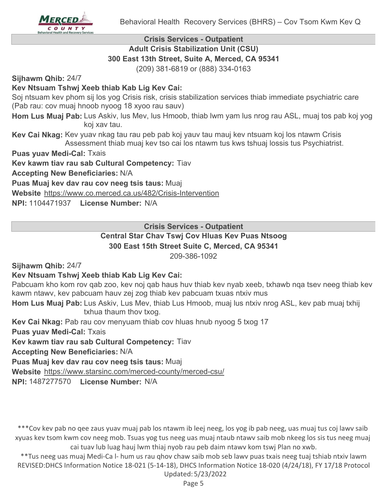

#### **Crisis Services - Outpatient Adult Crisis Stabilization Unit (CSU) 300 East 13th Street, Suite A, Merced, CA 95341**

(209) 381-6819 or (888) 334-0163

**Sijhawm Qhib:** 24/7

# **Kev Ntsuam Tshwj Xeeb thiab Kab Lig Kev Cai:**

Soj ntsuam kev phom sij los yog Crisis risk, crisis stabilization services thiab immediate psychiatric care (Pab rau: cov muaj hnoob nyoog 18 xyoo rau sauv)

Hom Lus Muaj Pab: Lus Askiv, lus Mev, lus Hmoob, thiab lwm yam lus nrog rau ASL, muaj tos pab koj yog koj xav tau.

**Kev Cai Nkag:** Kev yuav nkag tau rau peb pab koj yauv tau mauj kev ntsuam koj los ntawm Crisis Assessment thiab muaj kev tso cai los ntawm tus kws tshuaj lossis tus Psychiatrist.

**Puas yuav Medi-Cal:** Txais

**Kev kawm tiav rau sab Cultural Competency:** Tiav

**Accepting New Beneficiaries:** N/A

**Puas Muaj kev dav rau cov neeg tsis taus:** Muaj

**Website** https://www.co.merced.ca.us/482/Crisis-Intervention

**NPI:** 1104471937 **License Number:** N/A

**Crisis Services - Outpatient**

#### **Central Star Chav Tswj Cov Hluas Kev Puas Ntsoog 300 East 15th Street Suite C, Merced, CA 95341**

209-386-1092

**Sijhawm Qhib:** 24/7

#### **Kev Ntsuam Tshwj Xeeb thiab Kab Lig Kev Cai:**

Pabcuam kho kom rov qab zoo, kev noj qab haus huv thiab kev nyab xeeb, txhawb nqa tsev neeg thiab kev kawm ntawv, kev pabcuam hauv zej zog thiab kev pabcuam txuas ntxiv mus

Hom Lus Muaj Pab: Lus Askiv, Lus Mev, thiab Lus Hmoob, muaj lus ntxiv nrog ASL, kev pab muaj txhij txhua thaum thov txog.

**Kev Cai Nkag:** Pab rau cov menyuam thiab cov hluas hnub nyoog 5 txog 17

**Puas yuav Medi-Cal:** Txais

**Kev kawm tiav rau sab Cultural Competency:** Tiav

**Accepting New Beneficiaries:** N/A

**Puas Muaj kev dav rau cov neeg tsis taus:** Muaj

**Website** https://www.starsinc.com/merced-county/merced-csu/

**NPI:** 1487277570 **License Number:** N/A

\*\*\*Cov kev pab no qee zaus yuav muaj pab los ntawm ib leej neeg, los yog ib pab neeg, uas muaj tus coj lawv saib xyuas kev tsom kwm cov neeg mob. Tsuas yog tus neeg uas muaj ntaub ntawv saib mob nkeeg los sis tus neeg muaj cai tuav lub luag hauj lwm thiaj nyob rau peb daim ntawv kom tswj Plan no xwb.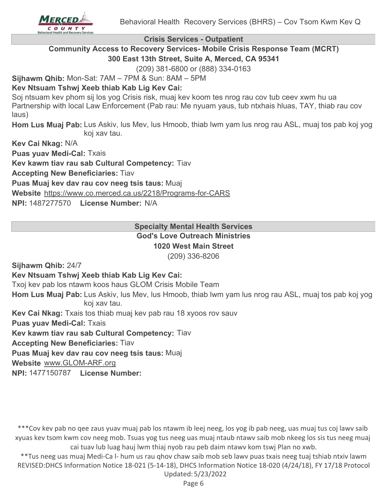

**Crisis Services - Outpatient**

**Community Access to Recovery Services- Mobile Crisis Response Team (MCRT) 300 East 13th Street, Suite A, Merced, CA 95341**

(209) 381-6800 or (888) 334-0163

**Sijhawm Qhib:** Mon-Sat: 7AM – 7PM & Sun: 8AM – 5PM

# **Kev Ntsuam Tshwj Xeeb thiab Kab Lig Kev Cai:**

Soj ntsuam kev phom sij los yog Crisis risk, muaj kev koom tes nrog rau cov tub ceev xwm hu ua Partnership with local Law Enforcement (Pab rau: Me nyuam yaus, tub ntxhais hluas, TAY, thiab rau cov laus)

Hom Lus Muaj Pab: Lus Askiv, lus Mev, lus Hmoob, thiab lwm yam lus nrog rau ASL, muaj tos pab koj yog koj xav tau.

**Kev Cai Nkag:** N/A

**Puas yuav Medi-Cal:** Txais

**Kev kawm tiav rau sab Cultural Competency:** Tiav

**Accepting New Beneficiaries:** Tiav

**Puas Muaj kev dav rau cov neeg tsis taus:** Muaj

**Website** https://www.co.merced.ca.us/2218/Programs-for-CARS

**NPI:** 1487277570 **License Number:** N/A

#### **Specialty Mental Health Services God's Love Outreach Ministries 1020 West Main Street**

(209) 336-8206

**Sijhawm Qhib:** 24/7

#### **Kev Ntsuam Tshwj Xeeb thiab Kab Lig Kev Cai:**

Txoj kev pab los ntawm koos haus GLOM Crisis Mobile Team

Hom Lus Muaj Pab: Lus Askiv, lus Mev, lus Hmoob, thiab lwm yam lus nrog rau ASL, muaj tos pab koj yog koj xav tau.

**Kev Cai Nkag:** Txais tos thiab muaj kev pab rau 18 xyoos rov sauv

**Puas yuav Medi-Cal:** Txais

**Kev kawm tiav rau sab Cultural Competency:** Tiav

**Accepting New Beneficiaries:** Tiav

**Puas Muaj kev dav rau cov neeg tsis taus:** Muaj

**Website** www.GLOM-ARF.org

**NPI:** 1477150787 **License Number:**

\*\*\*Cov kev pab no qee zaus yuav muaj pab los ntawm ib leej neeg, los yog ib pab neeg, uas muaj tus coj lawv saib xyuas kev tsom kwm cov neeg mob. Tsuas yog tus neeg uas muaj ntaub ntawv saib mob nkeeg los sis tus neeg muaj cai tuav lub luag hauj lwm thiaj nyob rau peb daim ntawv kom tswj Plan no xwb.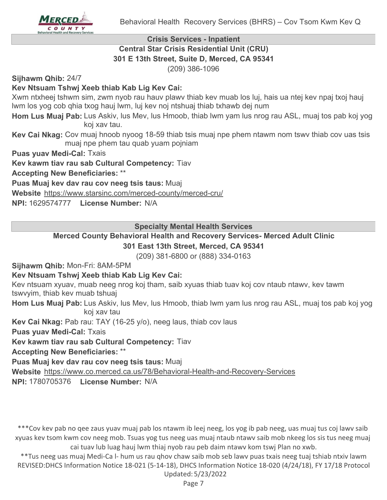

# **Crisis Services - Inpatient Central Star Crisis Residential Unit (CRU) 301 E 13th Street, Suite D, Merced, CA 95341**

(209) 386-1096

**Sijhawm Qhib:** 24/7

# **Kev Ntsuam Tshwj Xeeb thiab Kab Lig Kev Cai:**

Xwm ntxheej tshwm sim, zwm nyob rau hauv plawv thiab kev muab los luj, hais ua ntej kev npaj txoj hauj lwm los yog cob qhia txog hauj lwm, luj kev noj ntshuaj thiab txhawb dej num

Hom Lus Muaj Pab: Lus Askiv, lus Mev, lus Hmoob, thiab lwm yam lus nrog rau ASL, muaj tos pab koj yog koj xav tau.

**Kev Cai Nkag:** Cov muaj hnoob nyoog 18-59 thiab tsis muaj npe phem ntawm nom tswv thiab cov uas tsis muaj npe phem tau quab yuam pojniam

**Puas yuav Medi-Cal:** Txais

**Kev kawm tiav rau sab Cultural Competency:** Tiav

**Accepting New Beneficiaries:** \*\*

**Puas Muaj kev dav rau cov neeg tsis taus:** Muaj

**Website** https://www.starsinc.com/merced-county/merced-cru/

**NPI:** 1629574777 **License Number:** N/A

**Specialty Mental Health Services**

# **Merced County Behavioral Health and Recovery Services- Merced Adult Clinic**

# **301 East 13th Street, Merced, CA 95341**

(209) 381-6800 or (888) 334-0163

**Sijhawm Qhib:** Mon-Fri: 8AM-5PM

#### **Kev Ntsuam Tshwj Xeeb thiab Kab Lig Kev Cai:**

Kev ntsuam xyuav, muab neeg nrog koj tham, saib xyuas thiab tuav koj cov ntaub ntawv, kev tawm tswvyim, thiab kev muab tshuaj

Hom Lus Muaj Pab: Lus Askiv, lus Mev, lus Hmoob, thiab lwm yam lus nrog rau ASL, muaj tos pab koj yog koj xav tau

**Kev Cai Nkag:** Pab rau: TAY (16-25 y/o), neeg laus, thiab cov laus

**Puas yuav Medi-Cal:** Txais

**Kev kawm tiav rau sab Cultural Competency:** Tiav

**Accepting New Beneficiaries:** \*\*

**Puas Muaj kev dav rau cov neeg tsis taus:** Muaj

**Website** https://www.co.merced.ca.us/78/Behavioral-Health-and-Recovery-Services

**NPI:** 1780705376 **License Number:** N/A

\*\*\*Cov kev pab no qee zaus yuav muaj pab los ntawm ib leej neeg, los yog ib pab neeg, uas muaj tus coj lawv saib xyuas kev tsom kwm cov neeg mob. Tsuas yog tus neeg uas muaj ntaub ntawv saib mob nkeeg los sis tus neeg muaj cai tuav lub luag hauj lwm thiaj nyob rau peb daim ntawv kom tswj Plan no xwb.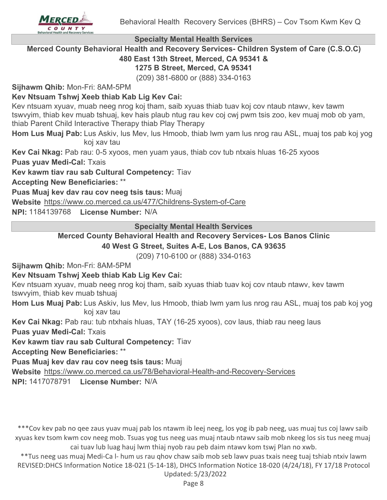



#### **Specialty Mental Health Services**

**Merced County Behavioral Health and Recovery Services- Children System of Care (C.S.O.C) 480 East 13th Street, Merced, CA 95341 &**

# **1275 B Street, Merced, CA 95341**

(209) 381-6800 or (888) 334-0163

**Sijhawm Qhib:** Mon-Fri: 8AM-5PM

**Kev Ntsuam Tshwj Xeeb thiab Kab Lig Kev Cai:**

Kev ntsuam xyuav, muab neeg nrog koj tham, saib xyuas thiab tuav koj cov ntaub ntawv, kev tawm tswvyim, thiab kev muab tshuaj, kev hais plaub ntug rau kev coj cwj pwm tsis zoo, kev muaj mob ob yam, thiab Parent Child Interactive Therapy thiab Play Therapy

Hom Lus Muaj Pab: Lus Askiv, lus Mev, lus Hmoob, thiab lwm yam lus nrog rau ASL, muaj tos pab koj yog koj xav tau

**Kev Cai Nkag:** Pab rau: 0-5 xyoos, men yuam yaus, thiab cov tub ntxais hluas 16-25 xyoos

**Puas yuav Medi-Cal:** Txais

**Kev kawm tiav rau sab Cultural Competency:** Tiav

**Accepting New Beneficiaries:** \*\*

**Puas Muaj kev dav rau cov neeg tsis taus:** Muaj

**Website** https://www.co.merced.ca.us/477/Childrens-System-of-Care

**NPI:** 1184139768 **License Number:** N/A

**Specialty Mental Health Services**

#### **Merced County Behavioral Health and Recovery Services- Los Banos Clinic 40 West G Street, Suites A-E, Los Banos, CA 93635**

(209) 710-6100 or (888) 334-0163

**Sijhawm Qhib:** Mon-Fri: 8AM-5PM

**Kev Ntsuam Tshwj Xeeb thiab Kab Lig Kev Cai:**

Kev ntsuam xyuav, muab neeg nrog koj tham, saib xyuas thiab tuav koj cov ntaub ntawv, kev tawm tswvyim, thiab kev muab tshuaj

Hom Lus Muaj Pab: Lus Askiv, lus Mev, lus Hmoob, thiab lwm yam lus nrog rau ASL, muaj tos pab koj yog koj xav tau

**Kev Cai Nkag:** Pab rau: tub ntxhais hluas, TAY (16-25 xyoos), cov laus, thiab rau neeg laus

**Puas yuav Medi-Cal:** Txais

**Kev kawm tiav rau sab Cultural Competency:** Tiav

**Accepting New Beneficiaries:** \*\*

**Puas Muaj kev dav rau cov neeg tsis taus:** Muaj

**Website** https://www.co.merced.ca.us/78/Behavioral-Health-and-Recovery-Services

**NPI:** 1417078791 **License Number:** N/A

\*\*\*Cov kev pab no qee zaus yuav muaj pab los ntawm ib leej neeg, los yog ib pab neeg, uas muaj tus coj lawv saib xyuas kev tsom kwm cov neeg mob. Tsuas yog tus neeg uas muaj ntaub ntawv saib mob nkeeg los sis tus neeg muaj cai tuav lub luag hauj lwm thiaj nyob rau peb daim ntawv kom tswj Plan no xwb.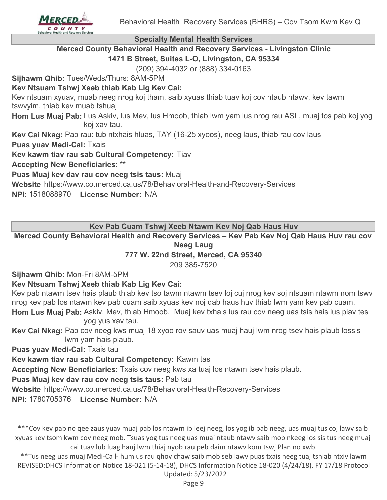

#### **Specialty Mental Health Services**

**Merced County Behavioral Health and Recovery Services - Livingston Clinic 1471 B Street, Suites L-O, Livingston, CA 95334**

(209) 394-4032 or (888) 334-0163

**Sijhawm Qhib:** Tues/Weds/Thurs: 8AM-5PM

#### **Kev Ntsuam Tshwj Xeeb thiab Kab Lig Kev Cai:**

Kev ntsuam xyuav, muab neeg nrog koj tham, saib xyuas thiab tuav koj cov ntaub ntawv, kev tawm tswvyim, thiab kev muab tshuaj

Hom Lus Muaj Pab: Lus Askiv, lus Mev, lus Hmoob, thiab lwm yam lus nrog rau ASL, muaj tos pab koj yog koj xav tau.

**Kev Cai Nkag:** Pab rau: tub ntxhais hluas, TAY (16-25 xyoos), neeg laus, thiab rau cov laus

**Puas yuav Medi-Cal:** Txais

**Kev kawm tiav rau sab Cultural Competency:** Tiav

**Accepting New Beneficiaries:** \*\*

**Puas Muaj kev dav rau cov neeg tsis taus:** Muaj

**Website** https://www.co.merced.ca.us/78/Behavioral-Health-and-Recovery-Services

**NPI:** 1518088970 **License Number:** N/A

**Kev Pab Cuam Tshwj Xeeb Ntawm Kev Noj Qab Haus Huv**

**Merced County Behavioral Health and Recovery Services – Kev Pab Kev Noj Qab Haus Huv rau cov Neeg Laug**

#### **777 W. 22nd Street, Merced, CA 95340**

209 385-7520

**Sijhawm Qhib:** Mon-Fri 8AM-5PM

#### **Kev Ntsuam Tshwj Xeeb thiab Kab Lig Kev Cai:**

Kev pab ntawm tsev hais plaub thiab kev tso tawm ntawm tsev loj cuj nrog kev soj ntsuam ntawm nom tswv nrog kev pab los ntawm kev pab cuam saib xyuas kev noj qab haus huv thiab lwm yam kev pab cuam.

Hom Lus Muaj Pab: Askiv, Mev, thiab Hmoob. Muaj kev txhais lus rau cov neeg uas tsis hais lus piav tes yog yus xav tau.

**Kev Cai Nkag:** Pab cov neeg kws muaj 18 xyoo rov sauv uas muaj hauj lwm nrog tsev hais plaub lossis lwm yam hais plaub.

**Puas yuav Medi-Cal:** Txais tau

**Kev kawm tiav rau sab Cultural Competency:** Kawm tas

**Accepting New Beneficiaries:** Txais cov neeg kws xa tuaj los ntawm tsev hais plaub.

**Puas Muaj kev dav rau cov neeg tsis taus:** Pab tau

**Website** https://www.co.merced.ca.us/78/Behavioral-Health-Recovery-Services

**NPI:** 1780705376 **License Number:** N/A

\*\*\*Cov kev pab no qee zaus yuav muaj pab los ntawm ib leej neeg, los yog ib pab neeg, uas muaj tus coj lawv saib xyuas kev tsom kwm cov neeg mob. Tsuas yog tus neeg uas muaj ntaub ntawv saib mob nkeeg los sis tus neeg muaj cai tuav lub luag hauj lwm thiaj nyob rau peb daim ntawv kom tswj Plan no xwb.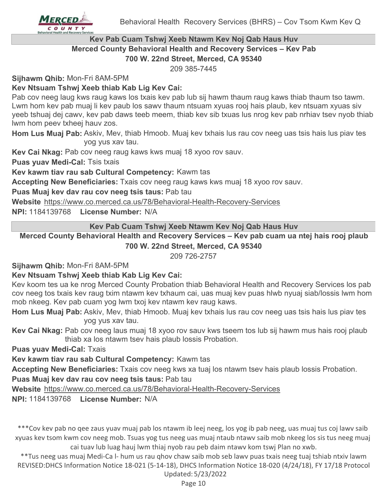

# **Kev Pab Cuam Tshwj Xeeb Ntawm Kev Noj Qab Haus Huv Merced County Behavioral Health and Recovery Services – Kev Pab**

**700 W. 22nd Street, Merced, CA 95340**

209 385-7445

**Sijhawm Qhib:** Mon-Fri 8AM-5PM

# **Kev Ntsuam Tshwj Xeeb thiab Kab Lig Kev Cai:**

Pab cov neeg laug kws raug kaws los txais kev pab lub sij hawm thaum raug kaws thiab thaum tso tawm. Lwm hom kev pab muaj li kev paub los sawv thaum ntsuam xyuas rooj hais plaub, kev ntsuam xyuas siv yeeb tshuaj dej cawv, kev pab daws teeb meem, thiab kev sib txuas lus nrog kev pab nrhiav tsev nyob thiab lwm hom peev txheej hauv zos.

Hom Lus Muaj Pab: Askiv, Mev, thiab Hmoob. Muaj kev txhais lus rau cov neeg uas tsis hais lus piav tes yog yus xav tau.

**Kev Cai Nkag:** Pab cov neeg raug kaws kws muaj 18 xyoo rov sauv.

**Puas yuav Medi-Cal:** Tsis txais

**Kev kawm tiav rau sab Cultural Competency:** Kawm tas

**Accepting New Beneficiaries:** Txais cov neeg raug kaws kws muaj 18 xyoo rov sauv.

**Puas Muaj kev dav rau cov neeg tsis taus:** Pab tau

**Website** https://www.co.merced.ca.us/78/Behavioral-Health-Recovery-Services

**NPI:** 1184139768 **License Number:** N/A

**Kev Pab Cuam Tshwj Xeeb Ntawm Kev Noj Qab Haus Huv**

**Merced County Behavioral Health and Recovery Services – Kev pab cuam ua ntej hais rooj plaub 700 W. 22nd Street, Merced, CA 95340**

209 726-2757

**Sijhawm Qhib:** Mon-Fri 8AM-5PM

#### **Kev Ntsuam Tshwj Xeeb thiab Kab Lig Kev Cai:**

Kev koom tes ua ke nrog Merced County Probation thiab Behavioral Health and Recovery Services los pab cov neeg tos txais kev raug txim ntawm kev txhaum cai, uas muaj kev puas hlwb nyuaj siab/lossis lwm hom mob nkeeg. Kev pab cuam yog lwm txoj kev ntawm kev raug kaws.

Hom Lus Muaj Pab: Askiv, Mev, thiab Hmoob. Muaj kev txhais lus rau cov neeg uas tsis hais lus piav tes yog yus xav tau.

**Kev Cai Nkag:** Pab cov neeg laus muaj 18 xyoo rov sauv kws tseem tos lub sij hawm mus hais rooj plaub thiab xa los ntawm tsev hais plaub lossis Probation.

**Puas yuav Medi-Cal:** Txais

**Kev kawm tiav rau sab Cultural Competency:** Kawm tas

**Accepting New Beneficiaries:** Txais cov neeg kws xa tuaj los ntawm tsev hais plaub lossis Probation.

**Puas Muaj kev dav rau cov neeg tsis taus:** Pab tau

**Website** https://www.co.merced.ca.us/78/Behavioral-Health-Recovery-Services

**NPI:** 1184139768 **License Number:** N/A

\*\*\*Cov kev pab no qee zaus yuav muaj pab los ntawm ib leej neeg, los yog ib pab neeg, uas muaj tus coj lawv saib xyuas kev tsom kwm cov neeg mob. Tsuas yog tus neeg uas muaj ntaub ntawv saib mob nkeeg los sis tus neeg muaj cai tuav lub luag hauj lwm thiaj nyob rau peb daim ntawv kom tswj Plan no xwb.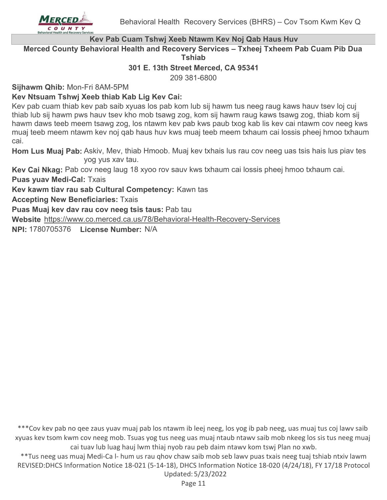

#### **Kev Pab Cuam Tshwj Xeeb Ntawm Kev Noj Qab Haus Huv**

**Merced County Behavioral Health and Recovery Services – Txheej Txheem Pab Cuam Pib Dua Tshiab**

#### **301 E. 13th Street Merced, CA 95341**

209 381-6800

**Sijhawm Qhib:** Mon-Fri 8AM-5PM

#### **Kev Ntsuam Tshwj Xeeb thiab Kab Lig Kev Cai:**

Kev pab cuam thiab kev pab saib xyuas los pab kom lub sij hawm tus neeg raug kaws hauv tsev loj cuj thiab lub sij hawm pws hauv tsev kho mob tsawg zog, kom sij hawm raug kaws tsawg zog, thiab kom sij hawm daws teeb meem tsawg zog, los ntawm kev pab kws paub txog kab lis kev cai ntawm cov neeg kws muaj teeb meem ntawm kev noj qab haus huv kws muaj teeb meem txhaum cai lossis pheej hmoo txhaum cai.

Hom Lus Muaj Pab: Askiv, Mev, thiab Hmoob. Muaj kev txhais lus rau cov neeg uas tsis hais lus piav tes yog yus xav tau.

**Kev Cai Nkag:** Pab cov neeg laug 18 xyoo rov sauv kws txhaum cai lossis pheej hmoo txhaum cai. **Puas yuav Medi-Cal:** Txais

**Kev kawm tiav rau sab Cultural Competency:** Kawn tas

**Accepting New Beneficiaries:** Txais

**Puas Muaj kev dav rau cov neeg tsis taus:** Pab tau

**Website** https://www.co.merced.ca.us/78/Behavioral-Health-Recovery-Services

**NPI:** 1780705376 **License Number:** N/A

\*\*\*Cov kev pab no qee zaus yuav muaj pab los ntawm ib leej neeg, los yog ib pab neeg, uas muaj tus coj lawv saib xyuas kev tsom kwm cov neeg mob. Tsuas yog tus neeg uas muaj ntaub ntawv saib mob nkeeg los sis tus neeg muaj cai tuav lub luag hauj lwm thiaj nyob rau peb daim ntawv kom tswj Plan no xwb.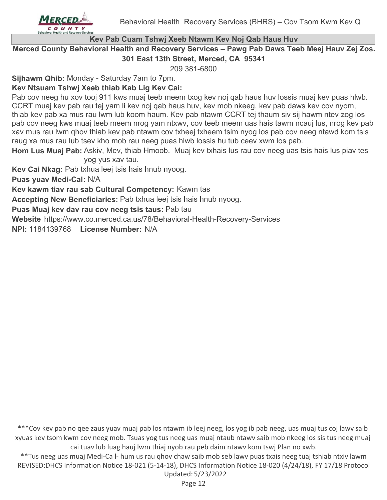

# **Kev Pab Cuam Tshwj Xeeb Ntawm Kev Noj Qab Haus Huv**

**Merced County Behavioral Health and Recovery Services – Pawg Pab Daws Teeb Meej Hauv Zej Zos. 301 East 13th Street, Merced, CA 95341**

209 381-6800

**Sijhawm Qhib:** Monday - Saturday 7am to 7pm.

# **Kev Ntsuam Tshwj Xeeb thiab Kab Lig Kev Cai:**

Pab cov neeg hu xov tooj 911 kws muaj teeb meem txog kev noj qab haus huv lossis muaj kev puas hlwb. CCRT muaj kev pab rau tej yam li kev noj qab haus huv, kev mob nkeeg, kev pab daws kev cov nyom, thiab kev pab xa mus rau lwm lub koom haum. Kev pab ntawm CCRT tej thaum siv sij hawm ntev zog los pab cov neeg kws muaj teeb meem nrog yam ntxwv, cov teeb meem uas hais tawm ncauj lus, nrog kev pab xav mus rau lwm qhov thiab kev pab ntawm cov txheej txheem tsim nyog los pab cov neeg ntawd kom tsis raug xa mus rau lub tsev kho mob rau neeg puas hlwb lossis hu tub ceev xwm los pab.

Hom Lus Muaj Pab: Askiv, Mev, thiab Hmoob. Muaj kev txhais lus rau cov neeg uas tsis hais lus piav tes yog yus xav tau.

**Kev Cai Nkag:** Pab txhua leej tsis hais hnub nyoog.

**Puas yuav Medi-Cal:** N/A

**Kev kawm tiav rau sab Cultural Competency:** Kawm tas

**Accepting New Beneficiaries:** Pab txhua leej tsis hais hnub nyoog.

**Puas Muaj kev dav rau cov neeg tsis taus:** Pab tau

**Website** https://www.co.merced.ca.us/78/Behavioral-Health-Recovery-Services

**NPI:** 1184139768 **License Number:** N/A

\*\*\*Cov kev pab no qee zaus yuav muaj pab los ntawm ib leej neeg, los yog ib pab neeg, uas muaj tus coj lawv saib xyuas kev tsom kwm cov neeg mob. Tsuas yog tus neeg uas muaj ntaub ntawv saib mob nkeeg los sis tus neeg muaj cai tuav lub luag hauj lwm thiaj nyob rau peb daim ntawv kom tswj Plan no xwb.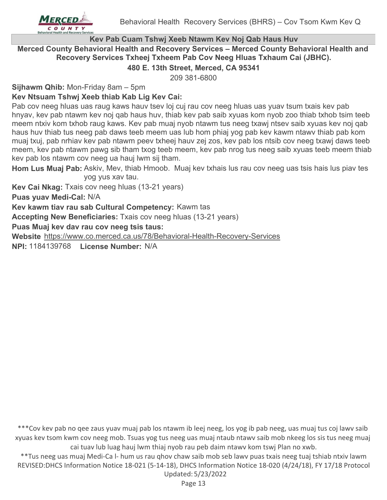

#### **Kev Pab Cuam Tshwj Xeeb Ntawm Kev Noj Qab Haus Huv**

**Merced County Behavioral Health and Recovery Services – Merced County Behavioral Health and Recovery Services Txheej Txheem Pab Cov Neeg Hluas Txhaum Cai (JBHC).**

#### **480 E. 13th Street, Merced, CA 95341**

209 381-6800

**Sijhawm Qhib:** Mon-Friday 8am – 5pm

#### **Kev Ntsuam Tshwj Xeeb thiab Kab Lig Kev Cai:**

Pab cov neeg hluas uas raug kaws hauv tsev loj cuj rau cov neeg hluas uas yuav tsum txais kev pab hnyav, kev pab ntawm kev noj qab haus huv, thiab kev pab saib xyuas kom nyob zoo thiab txhob tsim teeb meem ntxiv kom txhob raug kaws. Kev pab muaj nyob ntawm tus neeg txawj ntsev saib xyuas kev noj qab haus huv thiab tus neeg pab daws teeb meem uas lub hom phiaj yog pab kev kawm ntawv thiab pab kom muaj txuj, pab nrhiav kev pab ntawm peev txheej hauv zej zos, kev pab los ntsib cov neeg txawj daws teeb meem, kev pab ntawm pawg sib tham txog teeb meem, kev pab nrog tus neeg saib xyuas teeb meem thiab kev pab los ntawm cov neeg ua hauj lwm sij tham.

Hom Lus Muaj Pab: Askiv, Mev, thiab Hmoob. Muaj kev txhais lus rau cov neeg uas tsis hais lus piav tes yog yus xav tau.

**Kev Cai Nkag:** Txais cov neeg hluas (13-21 years)

**Puas yuav Medi-Cal:** N/A

**Kev kawm tiav rau sab Cultural Competency:** Kawm tas

**Accepting New Beneficiaries:** Txais cov neeg hluas (13-21 years)

**Puas Muaj kev dav rau cov neeg tsis taus:**

**Website** https://www.co.merced.ca.us/78/Behavioral-Health-Recovery-Services

**NPI:** 1184139768 **License Number:** N/A

\*\*\*Cov kev pab no qee zaus yuav muaj pab los ntawm ib leej neeg, los yog ib pab neeg, uas muaj tus coj lawv saib xyuas kev tsom kwm cov neeg mob. Tsuas yog tus neeg uas muaj ntaub ntawv saib mob nkeeg los sis tus neeg muaj cai tuav lub luag hauj lwm thiaj nyob rau peb daim ntawv kom tswj Plan no xwb.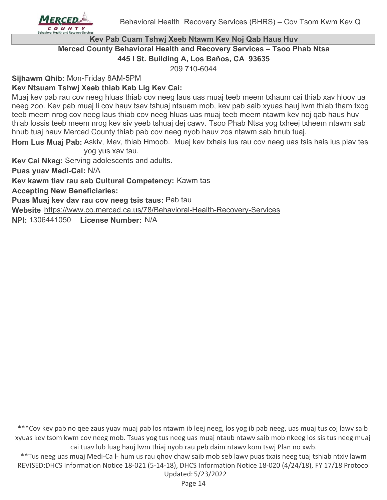

#### **Kev Pab Cuam Tshwj Xeeb Ntawm Kev Noj Qab Haus Huv Merced County Behavioral Health and Recovery Services – Tsoo Phab Ntsa 445 I St. Building A, Los Baños, CA 93635**

209 710-6044

**Sijhawm Qhib:** Mon-Friday 8AM-5PM

# **Kev Ntsuam Tshwj Xeeb thiab Kab Lig Kev Cai:**

Muaj kev pab rau cov neeg hluas thiab cov neeg laus uas muaj teeb meem txhaum cai thiab xav hloov ua neeg zoo. Kev pab muaj li cov hauv tsev tshuaj ntsuam mob, kev pab saib xyuas hauj lwm thiab tham txog teeb meem nrog cov neeg laus thiab cov neeg hluas uas muaj teeb meem ntawm kev noj qab haus huv thiab lossis teeb meem nrog kev siv yeeb tshuaj dej cawv. Tsoo Phab Ntsa yog txheej txheem ntawm sab hnub tuaj hauv Merced County thiab pab cov neeg nyob hauv zos ntawm sab hnub tuaj.

Hom Lus Muaj Pab: Askiv, Mev, thiab Hmoob. Muaj kev txhais lus rau cov neeg uas tsis hais lus piav tes yog yus xav tau.

**Kev Cai Nkag:** Serving adolescents and adults.

**Puas yuav Medi-Cal:** N/A

**Kev kawm tiav rau sab Cultural Competency:** Kawm tas

**Accepting New Beneficiaries:**

**Puas Muaj kev dav rau cov neeg tsis taus:** Pab tau

**Website** https://www.co.merced.ca.us/78/Behavioral-Health-Recovery-Services

**NPI:** 1306441050 **License Number:** N/A

\*\*\*Cov kev pab no qee zaus yuav muaj pab los ntawm ib leej neeg, los yog ib pab neeg, uas muaj tus coj lawv saib xyuas kev tsom kwm cov neeg mob. Tsuas yog tus neeg uas muaj ntaub ntawv saib mob nkeeg los sis tus neeg muaj cai tuav lub luag hauj lwm thiaj nyob rau peb daim ntawv kom tswj Plan no xwb.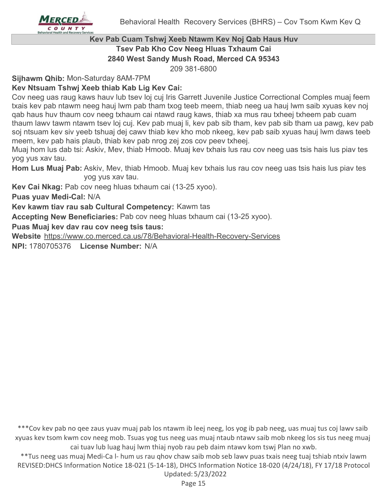

# **Kev Pab Cuam Tshwj Xeeb Ntawm Kev Noj Qab Haus Huv Tsev Pab Kho Cov Neeg Hluas Txhaum Cai 2840 West Sandy Mush Road, Merced CA 95343**

209 381-6800

**Sijhawm Qhib:** Mon-Saturday 8AM-7PM

# **Kev Ntsuam Tshwj Xeeb thiab Kab Lig Kev Cai:**

Cov neeg uas raug kaws hauv lub tsev loj cuj Iris Garrett Juvenile Justice Correctional Comples muaj feem txais kev pab ntawm neeg hauj lwm pab tham txog teeb meem, thiab neeg ua hauj lwm saib xyuas kev noj qab haus huv thaum cov neeg txhaum cai ntawd raug kaws, thiab xa mus rau txheej txheem pab cuam thaum lawv tawm ntawm tsev loj cuj. Kev pab muaj li, kev pab sib tham, kev pab sib tham ua pawg, kev pab soj ntsuam kev siv yeeb tshuaj dej cawv thiab kev kho mob nkeeg, kev pab saib xyuas hauj lwm daws teeb meem, kev pab hais plaub, thiab kev pab nrog zej zos cov peev txheej.

Muaj hom lus dab tsi: Askiv, Mev, thiab Hmoob. Muaj kev txhais lus rau cov neeg uas tsis hais lus piav tes yog yus xav tau.

Hom Lus Muaj Pab: Askiv, Mev, thiab Hmoob. Muaj kev txhais lus rau cov neeg uas tsis hais lus piav tes yog yus xav tau.

**Kev Cai Nkag:** Pab cov neeg hluas txhaum cai (13-25 xyoo).

**Puas yuav Medi-Cal:** N/A

**Kev kawm tiav rau sab Cultural Competency:** Kawm tas

**Accepting New Beneficiaries:** Pab cov neeg hluas txhaum cai (13-25 xyoo).

**Puas Muaj kev dav rau cov neeg tsis taus:**

**Website** https://www.co.merced.ca.us/78/Behavioral-Health-Recovery-Services

**NPI:** 1780705376 **License Number:** N/A

\*\*\*Cov kev pab no qee zaus yuav muaj pab los ntawm ib leej neeg, los yog ib pab neeg, uas muaj tus coj lawv saib xyuas kev tsom kwm cov neeg mob. Tsuas yog tus neeg uas muaj ntaub ntawv saib mob nkeeg los sis tus neeg muaj cai tuav lub luag hauj lwm thiaj nyob rau peb daim ntawv kom tswj Plan no xwb.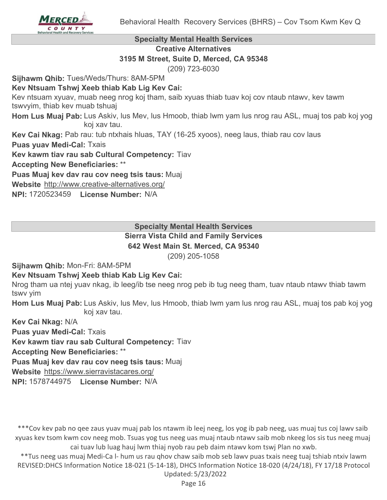

#### **Specialty Mental Health Services**

**Creative Alternatives**

#### **3195 M Street, Suite D, Merced, CA 95348**

(209) 723-6030

**Sijhawm Qhib:** Tues/Weds/Thurs: 8AM-5PM

#### **Kev Ntsuam Tshwj Xeeb thiab Kab Lig Kev Cai:**

Kev ntsuam xyuav, muab neeg nrog koj tham, saib xyuas thiab tuav koj cov ntaub ntawv, kev tawm tswvyim, thiab kev muab tshuaj

Hom Lus Muaj Pab: Lus Askiv, lus Mev, lus Hmoob, thiab lwm yam lus nrog rau ASL, muaj tos pab koj yog koj xav tau.

**Kev Cai Nkag:** Pab rau: tub ntxhais hluas, TAY (16-25 xyoos), neeg laus, thiab rau cov laus

**Puas yuav Medi-Cal:** Txais

**Kev kawm tiav rau sab Cultural Competency:** Tiav

**Accepting New Beneficiaries:** \*\*

**Puas Muaj kev dav rau cov neeg tsis taus:** Muaj

**Website** http://www.creative-alternatives.org/

**NPI:** 1720523459 **License Number:** N/A

**Specialty Mental Health Services**

# **Sierra Vista Child and Family Services**

**642 West Main St. Merced, CA 95340**

(209) 205-1058

**Sijhawm Qhib:** Mon-Fri: 8AM-5PM

#### **Kev Ntsuam Tshwj Xeeb thiab Kab Lig Kev Cai:**

Nrog tham ua ntej yuav nkag, ib leeg/ib tse neeg nrog peb ib tug neeg tham, tuav ntaub ntawv thiab tawm tswv yim

Hom Lus Muaj Pab: Lus Askiv, lus Mev, lus Hmoob, thiab lwm yam lus nrog rau ASL, muaj tos pab koj yog koj xav tau.

**Kev Cai Nkag:** N/A

**Puas yuav Medi-Cal:** Txais

**Kev kawm tiav rau sab Cultural Competency:** Tiav

**Accepting New Beneficiaries:** \*\*

**Puas Muaj kev dav rau cov neeg tsis taus:** Muaj

**Website** https://www.sierravistacares.org/

**NPI:** 1578744975 **License Number:** N/A

\*\*\*Cov kev pab no qee zaus yuav muaj pab los ntawm ib leej neeg, los yog ib pab neeg, uas muaj tus coj lawv saib xyuas kev tsom kwm cov neeg mob. Tsuas yog tus neeg uas muaj ntaub ntawv saib mob nkeeg los sis tus neeg muaj cai tuav lub luag hauj lwm thiaj nyob rau peb daim ntawv kom tswj Plan no xwb.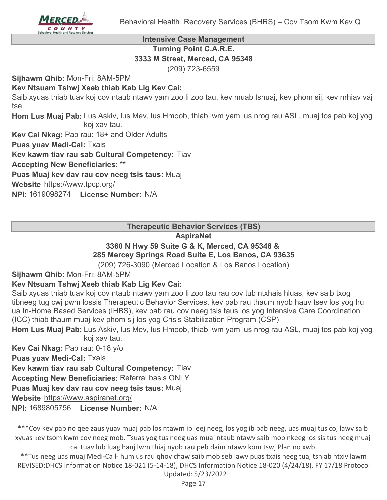

#### **Intensive Case Management Turning Point C.A.R.E. 3333 M Street, Merced, CA 95348** (209) 723-6559

**Sijhawm Qhib:** Mon-Fri: 8AM-5PM

# **Kev Ntsuam Tshwj Xeeb thiab Kab Lig Kev Cai:**

Saib xyuas thiab tuav koj cov ntaub ntawv yam zoo li zoo tau, kev muab tshuaj, kev phom sij, kev nrhiav vaj tse.

Hom Lus Muaj Pab: Lus Askiv, lus Mev, lus Hmoob, thiab lwm yam lus nrog rau ASL, muaj tos pab koj yog koj xav tau.

**Kev Cai Nkag:** Pab rau: 18+ and Older Adults

**Puas yuav Medi-Cal:** Txais

**Kev kawm tiav rau sab Cultural Competency:** Tiav

**Accepting New Beneficiaries:** \*\*

**Puas Muaj kev dav rau cov neeg tsis taus:** Muaj

**Website** https://www.tpcp.org/

**NPI:** 1619098274 **License Number:** N/A

**Therapeutic Behavior Services (TBS)**

#### **AspiraNet**

#### **3360 N Hwy 59 Suite G & K, Merced, CA 95348 & 285 Mercey Springs Road Suite E, Los Banos, CA 93635**

(209) 726-3090 (Merced Location & Los Banos Location)

**Sijhawm Qhib:** Mon-Fri: 8AM-5PM

# **Kev Ntsuam Tshwj Xeeb thiab Kab Lig Kev Cai:**

Saib xyuas thiab tuav koj cov ntaub ntawv yam zoo li zoo tau rau cov tub ntxhais hluas, kev saib txog tibneeg tug cwj pwm lossis Therapeutic Behavior Services, kev pab rau thaum nyob hauv tsev los yog hu ua In-Home Based Services (IHBS), kev pab rau cov neeg tsis taus los yog Intensive Care Coordination (ICC) thiab thaum muaj kev phom sij los yog Crisis Stabilization Program (CSP)

Hom Lus Muaj Pab: Lus Askiv, lus Mev, lus Hmoob, thiab lwm yam lus nrog rau ASL, muaj tos pab koj yog koj xav tau.

**Kev Cai Nkag:** Pab rau: 0-18 y/o

**Puas yuav Medi-Cal:** Txais

**Kev kawm tiav rau sab Cultural Competency:** Tiav

**Accepting New Beneficiaries:** Referral basis ONLY

**Puas Muaj kev dav rau cov neeg tsis taus:** Muaj

**Website** https://www.aspiranet.org/

**NPI:** 1689805756 **License Number:** N/A

\*\*\*Cov kev pab no qee zaus yuav muaj pab los ntawm ib leej neeg, los yog ib pab neeg, uas muaj tus coj lawv saib xyuas kev tsom kwm cov neeg mob. Tsuas yog tus neeg uas muaj ntaub ntawv saib mob nkeeg los sis tus neeg muaj cai tuav lub luag hauj lwm thiaj nyob rau peb daim ntawv kom tswj Plan no xwb.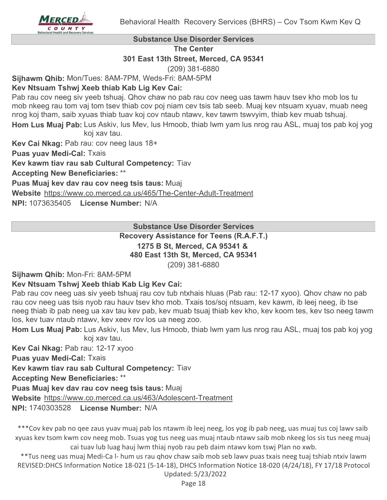

**Substance Use Disorder Services**

**The Center**

**301 East 13th Street, Merced, CA 95341**

(209) 381-6880

**Sijhawm Qhib:** Mon/Tues: 8AM-7PM, Weds-Fri: 8AM-5PM

#### **Kev Ntsuam Tshwj Xeeb thiab Kab Lig Kev Cai:**

Pab rau cov neeg siv yeeb tshuaj. Qhov chaw no pab rau cov neeg uas tawm hauv tsev kho mob los tu mob nkeeg rau tom vaj tom tsev thiab cov poj niam cev tsis tab seeb. Muaj kev ntsuam xyuav, muab neeg nrog koj tham, saib xyuas thiab tuav koj cov ntaub ntawv, kev tawm tswvyim, thiab kev muab tshuaj.

Hom Lus Muaj Pab: Lus Askiv, lus Mev, lus Hmoob, thiab lwm yam lus nrog rau ASL, muaj tos pab koj yog koj xav tau.

**Kev Cai Nkag:** Pab rau: cov neeg laus 18+

**Puas yuav Medi-Cal:** Txais

**Kev kawm tiav rau sab Cultural Competency:** Tiav

**Accepting New Beneficiaries:** \*\*

**Puas Muaj kev dav rau cov neeg tsis taus:** Muaj

**Website** https://www.co.merced.ca.us/465/The-Center-Adult-Treatment

**NPI:** 1073635405 **License Number:** N/A

**Substance Use Disorder Services**

**Recovery Assistance for Teens (R.A.F.T.) 1275 B St, Merced, CA 95341 &** 

**480 East 13th St, Merced, CA 95341**

(209) 381-6880

**Sijhawm Qhib:** Mon-Fri: 8AM-5PM

# **Kev Ntsuam Tshwj Xeeb thiab Kab Lig Kev Cai:**

Pab rau cov neeg uas siv yeeb tshuaj rau cov tub ntxhais hluas (Pab rau: 12-17 xyoo). Qhov chaw no pab rau cov neeg uas tsis nyob rau hauv tsev kho mob. Txais tos/soj ntsuam, kev kawm, ib leej neeg, ib tse neeg thiab ib pab neeg ua xav tau kev pab, kev muab tsuaj thiab kev kho, kev koom tes, kev tso neeg tawm los, kev tuav ntaub ntawv, kev xeev rov los ua neeg zoo.

Hom Lus Muaj Pab: Lus Askiv, lus Mev, lus Hmoob, thiab lwm yam lus nrog rau ASL, muaj tos pab koj yog koj xav tau.

**Kev Cai Nkag:** Pab rau: 12-17 xyoo

**Puas yuav Medi-Cal:** Txais

**Kev kawm tiav rau sab Cultural Competency:** Tiav

**Accepting New Beneficiaries:** \*\*

**Puas Muaj kev dav rau cov neeg tsis taus:** Muaj

**Website** https://www.co.merced.ca.us/463/Adolescent-Treatment

**NPI:** 1740303528 **License Number:** N/A

\*\*\*Cov kev pab no qee zaus yuav muaj pab los ntawm ib leej neeg, los yog ib pab neeg, uas muaj tus coj lawv saib xyuas kev tsom kwm cov neeg mob. Tsuas yog tus neeg uas muaj ntaub ntawv saib mob nkeeg los sis tus neeg muaj cai tuav lub luag hauj lwm thiaj nyob rau peb daim ntawv kom tswj Plan no xwb.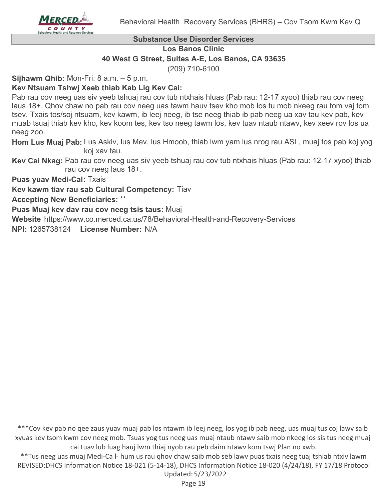

#### **Substance Use Disorder Services**

**Los Banos Clinic**

**40 West G Street, Suites A-E, Los Banos, CA 93635**

(209) 710-6100

**Sijhawm Qhib:** Mon-Fri: 8 a.m. – 5 p.m.

# **Kev Ntsuam Tshwj Xeeb thiab Kab Lig Kev Cai:**

Pab rau cov neeg uas siv yeeb tshuaj rau cov tub ntxhais hluas (Pab rau: 12-17 xyoo) thiab rau cov neeg laus 18+. Qhov chaw no pab rau cov neeg uas tawm hauv tsev kho mob los tu mob nkeeg rau tom vaj tom tsev. Txais tos/soj ntsuam, kev kawm, ib leej neeg, ib tse neeg thiab ib pab neeg ua xav tau kev pab, kev muab tsuaj thiab kev kho, kev koom tes, kev tso neeg tawm los, kev tuav ntaub ntawv, kev xeev rov los ua neeg zoo.

Hom Lus Muaj Pab: Lus Askiv, lus Mev, lus Hmoob, thiab lwm yam lus nrog rau ASL, muaj tos pab koj yog koj xav tau.

**Kev Cai Nkag:** Pab rau cov neeg uas siv yeeb tshuaj rau cov tub ntxhais hluas (Pab rau: 12-17 xyoo) thiab rau cov neeg laus 18+.

**Puas yuav Medi-Cal:** Txais

**Kev kawm tiav rau sab Cultural Competency:** Tiav

**Accepting New Beneficiaries:** \*\*

**Puas Muaj kev dav rau cov neeg tsis taus:** Muaj

**Website** https://www.co.merced.ca.us/78/Behavioral-Health-and-Recovery-Services

**NPI:** 1265738124 **License Number:** N/A

\*\*\*Cov kev pab no qee zaus yuav muaj pab los ntawm ib leej neeg, los yog ib pab neeg, uas muaj tus coj lawv saib xyuas kev tsom kwm cov neeg mob. Tsuas yog tus neeg uas muaj ntaub ntawv saib mob nkeeg los sis tus neeg muaj cai tuav lub luag hauj lwm thiaj nyob rau peb daim ntawv kom tswj Plan no xwb.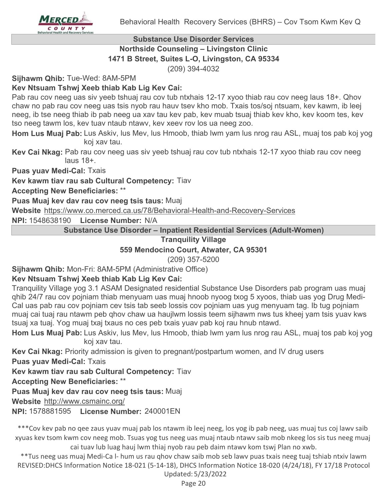

## **Substance Use Disorder Services Northside Counseling – Livingston Clinic 1471 B Street, Suites L-O, Livingston, CA 95334**

(209) 394-4032

**Sijhawm Qhib:** Tue-Wed: 8AM-5PM

# **Kev Ntsuam Tshwj Xeeb thiab Kab Lig Kev Cai:**

Pab rau cov neeg uas siv yeeb tshuaj rau cov tub ntxhais 12-17 xyoo thiab rau cov neeg laus 18+. Qhov chaw no pab rau cov neeg uas tsis nyob rau hauv tsev kho mob. Txais tos/soj ntsuam, kev kawm, ib leej neeg, ib tse neeg thiab ib pab neeg ua xav tau kev pab, kev muab tsuaj thiab kev kho, kev koom tes, kev tso neeg tawm los, kev tuav ntaub ntawv, kev xeev rov los ua neeg zoo.

Hom Lus Muaj Pab: Lus Askiv, lus Mev, lus Hmoob, thiab lwm yam lus nrog rau ASL, muaj tos pab koj yog koj xav tau.

**Kev Cai Nkag:** Pab rau cov neeg uas siv yeeb tshuaj rau cov tub ntxhais 12-17 xyoo thiab rau cov neeg laus 18+.

**Puas yuav Medi-Cal:** Txais

**Kev kawm tiav rau sab Cultural Competency:** Tiav

**Accepting New Beneficiaries:** \*\*

**Puas Muaj kev dav rau cov neeg tsis taus:** Muaj

**Website** https://www.co.merced.ca.us/78/Behavioral-Health-and-Recovery-Services

**NPI:** 1548638190 **License Number:** N/A

**Substance Use Disorder – Inpatient Residential Services (Adult-Women)**

#### **Tranquility Village**

**559 Mendocino Court, Atwater, CA 95301**

(209) 357-5200

**Sijhawm Qhib:** Mon-Fri: 8AM-5PM (Administrative Office)

#### **Kev Ntsuam Tshwj Xeeb thiab Kab Lig Kev Cai:**

Tranquility Village yog 3.1 ASAM Designated residential Substance Use Disorders pab program uas muaj qhib 24/7 rau cov pojniam thiab menyuam uas muaj hnoob nyoog txog 5 xyoos, thiab uas yog Drug Medi-Cal uas pab rau cov pojniam cev tsis tab seeb lossis cov pojniam uas yug menyuam tag. Ib tug pojniam muaj cai tuaj rau ntawm peb qhov chaw ua haujlwm lossis teem sijhawm nws tus kheej yam tsis yuav kws tsuaj xa tuaj. Yog muaj txaj txaus no ces peb txais yuav pab koj rau hnub ntawd.

Hom Lus Muaj Pab: Lus Askiv, lus Mev, lus Hmoob, thiab lwm yam lus nrog rau ASL, muaj tos pab koj yog koj xav tau.

**Kev Cai Nkag:** Priority admission is given to pregnant/postpartum women, and IV drug users

**Puas yuav Medi-Cal:** Txais

**Kev kawm tiav rau sab Cultural Competency:** Tiav

**Accepting New Beneficiaries:** \*\*

**Puas Muaj kev dav rau cov neeg tsis taus:** Muaj

**Website** http://www.csmainc.org/

**NPI:** 1578881595 **License Number:** 240001EN

\*\*\*Cov kev pab no qee zaus yuav muaj pab los ntawm ib leej neeg, los yog ib pab neeg, uas muaj tus coj lawv saib xyuas kev tsom kwm cov neeg mob. Tsuas yog tus neeg uas muaj ntaub ntawv saib mob nkeeg los sis tus neeg muaj cai tuav lub luag hauj lwm thiaj nyob rau peb daim ntawv kom tswj Plan no xwb.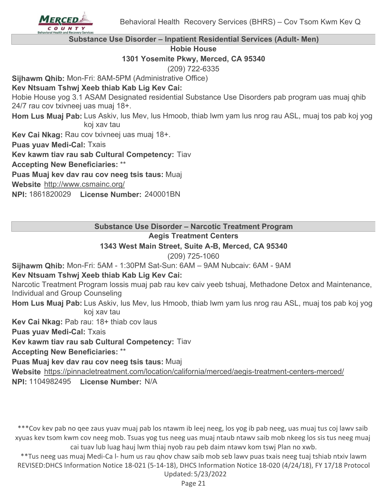

**Substance Use Disorder – Inpatient Residential Services (Adult- Men)**

**Hobie House**

**1301 Yosemite Pkwy, Merced, CA 95340**

(209) 722-6335

**Sijhawm Qhib:** Mon-Fri: 8AM-5PM (Administrative Office)

# **Kev Ntsuam Tshwj Xeeb thiab Kab Lig Kev Cai:**

Hobie House yog 3.1 ASAM Designated residential Substance Use Disorders pab program uas muaj qhib 24/7 rau cov txivneej uas muaj 18+.

Hom Lus Muaj Pab: Lus Askiv, lus Mev, lus Hmoob, thiab lwm yam lus nrog rau ASL, muaj tos pab koj yog koj xav tau

**Kev Cai Nkag:** Rau cov txivneej uas muaj 18+.

**Puas yuav Medi-Cal:** Txais

**Kev kawm tiav rau sab Cultural Competency:** Tiav

**Accepting New Beneficiaries:** \*\*

**Puas Muaj kev dav rau cov neeg tsis taus:** Muaj

**Website** http://www.csmainc.org/

**NPI:** 1861820029 **License Number:** 240001BN

**Substance Use Disorder – Narcotic Treatment Program**

# **Aegis Treatment Centers**

# **1343 West Main Street, Suite A-B, Merced, CA 95340**

(209) 725-1060

**Sijhawm Qhib:** Mon-Fri: 5AM - 1:30PM Sat-Sun: 6AM – 9AM Nubcaiv: 6AM - 9AM

# **Kev Ntsuam Tshwj Xeeb thiab Kab Lig Kev Cai:**

Narcotic Treatment Program lossis muaj pab rau kev caiv yeeb tshuaj, Methadone Detox and Maintenance, Individual and Group Counseling

Hom Lus Muaj Pab: Lus Askiv, lus Mev, lus Hmoob, thiab lwm yam lus nrog rau ASL, muaj tos pab koj yog koj xav tau

**Kev Cai Nkag:** Pab rau: 18+ thiab cov laus

**Puas yuav Medi-Cal:** Txais

**Kev kawm tiav rau sab Cultural Competency:** Tiav

**Accepting New Beneficiaries:** \*\*

**Puas Muaj kev dav rau cov neeg tsis taus:** Muaj

**Website** https://pinnacletreatment.com/location/california/merced/aegis-treatment-centers-merced/

**NPI:** 1104982495 **License Number:** N/A

\*\*\*Cov kev pab no qee zaus yuav muaj pab los ntawm ib leej neeg, los yog ib pab neeg, uas muaj tus coj lawv saib xyuas kev tsom kwm cov neeg mob. Tsuas yog tus neeg uas muaj ntaub ntawv saib mob nkeeg los sis tus neeg muaj cai tuav lub luag hauj lwm thiaj nyob rau peb daim ntawv kom tswj Plan no xwb.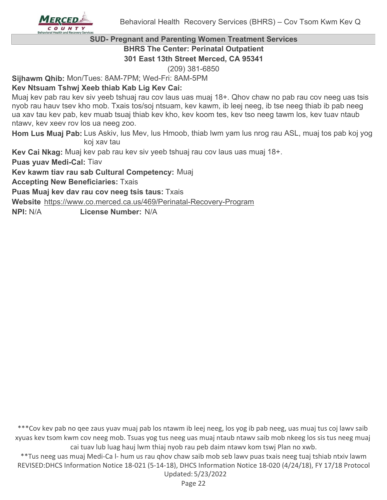

#### **SUD- Pregnant and Parenting Women Treatment Services BHRS The Center: Perinatal Outpatient**

**301 East 13th Street Merced, CA 95341**

(209) 381-6850

**Sijhawm Qhib:** Mon/Tues: 8AM-7PM; Wed-Fri: 8AM-5PM

# **Kev Ntsuam Tshwj Xeeb thiab Kab Lig Kev Cai:**

Muaj kev pab rau kev siv yeeb tshuaj rau cov laus uas muaj 18+. Qhov chaw no pab rau cov neeg uas tsis nyob rau hauv tsev kho mob. Txais tos/soj ntsuam, kev kawm, ib leej neeg, ib tse neeg thiab ib pab neeg ua xav tau kev pab, kev muab tsuaj thiab kev kho, kev koom tes, kev tso neeg tawm los, kev tuav ntaub ntawv, kev xeev rov los ua neeg zoo.

Hom Lus Muaj Pab: Lus Askiv, lus Mev, lus Hmoob, thiab lwm yam lus nrog rau ASL, muaj tos pab koj yog koj xav tau

**Kev Cai Nkag:** Muaj kev pab rau kev siv yeeb tshuaj rau cov laus uas muaj 18+.

**Puas yuav Medi-Cal:** Tiav

**Kev kawm tiav rau sab Cultural Competency:** Muaj

**Accepting New Beneficiaries:** Txais

**Puas Muaj kev dav rau cov neeg tsis taus:** Txais

**Website** https://www.co.merced.ca.us/469/Perinatal-Recovery-Program

**NPI:** N/A **License Number:** N/A

\*\*\*Cov kev pab no qee zaus yuav muaj pab los ntawm ib leej neeg, los yog ib pab neeg, uas muaj tus coj lawv saib xyuas kev tsom kwm cov neeg mob. Tsuas yog tus neeg uas muaj ntaub ntawv saib mob nkeeg los sis tus neeg muaj cai tuav lub luag hauj lwm thiaj nyob rau peb daim ntawv kom tswj Plan no xwb.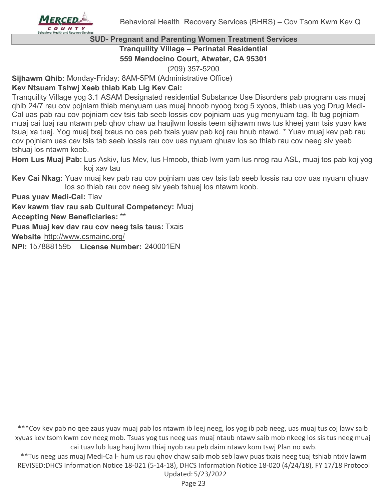# **SUD- Pregnant and Parenting Women Treatment Services Tranquility Village – Perinatal Residential**

**559 Mendocino Court, Atwater, CA 95301**

(209) 357-5200

**Sijhawm Qhib:** Monday-Friday: 8AM-5PM (Administrative Office)

# **Kev Ntsuam Tshwj Xeeb thiab Kab Lig Kev Cai:**

Tranquility Village yog 3.1 ASAM Designated residential Substance Use Disorders pab program uas muaj qhib 24/7 rau cov pojniam thiab menyuam uas muaj hnoob nyoog txog 5 xyoos, thiab uas yog Drug Medi-Cal uas pab rau cov pojniam cev tsis tab seeb lossis cov pojniam uas yug menyuam tag. Ib tug pojniam muaj cai tuaj rau ntawm peb qhov chaw ua haujlwm lossis teem sijhawm nws tus kheej yam tsis yuav kws tsuaj xa tuaj. Yog muaj txaj txaus no ces peb txais yuav pab koj rau hnub ntawd. \* Yuav muaj kev pab rau cov pojniam uas cev tsis tab seeb lossis rau cov uas nyuam qhuav los so thiab rau cov neeg siv yeeb tshuaj los ntawm koob.

Hom Lus Muaj Pab: Lus Askiv, lus Mev, lus Hmoob, thiab lwm yam lus nrog rau ASL, muaj tos pab koj yog koj xav tau

**Kev Cai Nkag:** Yuav muaj kev pab rau cov pojniam uas cev tsis tab seeb lossis rau cov uas nyuam qhuav los so thiab rau cov neeg siv yeeb tshuaj los ntawm koob.

**Puas yuav Medi-Cal:** Tiav

**Kev kawm tiav rau sab Cultural Competency:** Muaj

**Accepting New Beneficiaries:** \*\*

**Puas Muaj kev dav rau cov neeg tsis taus:** Txais

**Website** http://www.csmainc.org/

**NPI:** 1578881595 **License Number:** 240001EN

\*\*\*Cov kev pab no qee zaus yuav muaj pab los ntawm ib leej neeg, los yog ib pab neeg, uas muaj tus coj lawv saib xyuas kev tsom kwm cov neeg mob. Tsuas yog tus neeg uas muaj ntaub ntawv saib mob nkeeg los sis tus neeg muaj cai tuav lub luag hauj lwm thiaj nyob rau peb daim ntawv kom tswj Plan no xwb.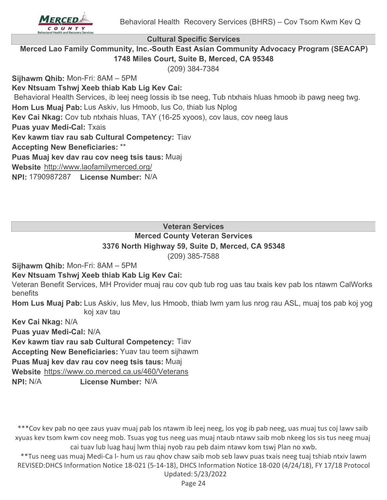

**Cultural Specific Services**

**Merced Lao Family Community, Inc.-South East Asian Community Advocacy Program (SEACAP) 1748 Miles Court, Suite B, Merced, CA 95348**

(209) 384-7384

**Sijhawm Qhib:** Mon-Fri: 8AM – 5PM

**Kev Ntsuam Tshwj Xeeb thiab Kab Lig Kev Cai:**

Behavioral Health Services, ib leej neeg lossis ib tse neeg, Tub ntxhais hluas hmoob ib pawg neeg twg.

Hom Lus Muaj Pab: Lus Askiv, lus Hmoob, lus Co, thiab lus Nplog

**Kev Cai Nkag:** Cov tub ntxhais hluas, TAY (16-25 xyoos), cov laus, cov neeg laus

**Puas yuav Medi-Cal:** Txais

**Kev kawm tiav rau sab Cultural Competency:** Tiav

**Accepting New Beneficiaries:** \*\*

**Puas Muaj kev dav rau cov neeg tsis taus:** Muaj

**Website** http://www.laofamilymerced.org/

**NPI:** 1790987287 **License Number:** N/A

**Veteran Services**

#### **Merced County Veteran Services 3376 North Highway 59, Suite D, Merced, CA 95348**

(209) 385-7588

**Sijhawm Qhib:** Mon-Fri: 8AM – 5PM

# **Kev Ntsuam Tshwj Xeeb thiab Kab Lig Kev Cai:**

Veteran Benefit Services, MH Provider muaj rau cov qub tub rog uas tau txais kev pab los ntawm CalWorks benefits

Hom Lus Muaj Pab: Lus Askiv, lus Mev, lus Hmoob, thiab lwm yam lus nrog rau ASL, muaj tos pab koj yog koj xav tau

**Kev Cai Nkag:** N/A

**Puas yuav Medi-Cal:** N/A

**Kev kawm tiav rau sab Cultural Competency:** Tiav

**Accepting New Beneficiaries:** Yuav tau teem sijhawm

**Puas Muaj kev dav rau cov neeg tsis taus:** Muaj

**Website** https://www.co.merced.ca.us/460/Veterans

**NPI:** N/A **License Number:** N/A

\*\*\*Cov kev pab no qee zaus yuav muaj pab los ntawm ib leej neeg, los yog ib pab neeg, uas muaj tus coj lawv saib xyuas kev tsom kwm cov neeg mob. Tsuas yog tus neeg uas muaj ntaub ntawv saib mob nkeeg los sis tus neeg muaj cai tuav lub luag hauj lwm thiaj nyob rau peb daim ntawv kom tswj Plan no xwb.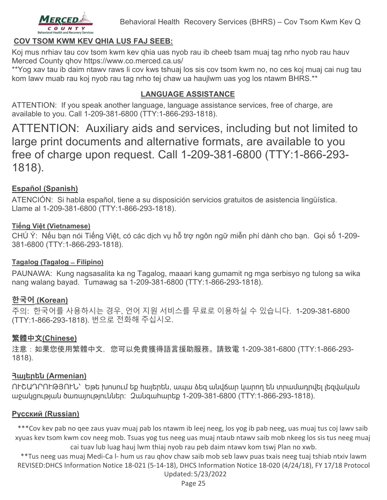

# **COV TSOM KWM KEV QHIA LUS FAJ SEEB:**

Koj mus nrhiav tau cov tsom kwm kev qhia uas nyob rau ib cheeb tsam muaj tag nrho nyob rau hauv Merced County qhov https://www.co.merced.ca.us/

\*\*Yog xav tau ib daim ntawv raws li cov kws tshuaj los sis cov tsom kwm no, no ces koj muaj cai nug tau kom lawv muab rau koj nyob rau tag nrho tej chaw ua haujlwm uas yog los ntawm BHRS.\*\*

#### **LANGUAGE ASSISTANCE**

ATTENTION: If you speak another language, language assistance services, free of charge, are available to you. Call 1-209-381-6800 (TTY:1-866-293-1818).

ATTENTION: Auxiliary aids and services, including but not limited to large print documents and alternative formats, are available to you free of charge upon request. Call 1-209-381-6800 (TTY:1-866-293- 1818).

# **Español (Spanish)**

ATENCIÓN: Si habla español, tiene a su disposición servicios gratuitos de asistencia lingüística. Llame al 1-209-381-6800 (TTY:1-866-293-1818).

#### **Tiếng Việt (Vietnamese)**

CHÚ Ý: Nếu bạn nói Tiếng Việt, có các dịch vụ hỗ trợ ngôn ngữ miễn phí dành cho bạn. Gọi số 1-209- 381-6800 (TTY:1-866-293-1818).

#### **Tagalog (Tagalog ̶ Filipino)**

PAUNAWA: Kung nagsasalita ka ng Tagalog, maaari kang gumamit ng mga serbisyo ng tulong sa wika nang walang bayad. Tumawag sa 1-209-381-6800 (TTY:1-866-293-1818).

#### **한국어 (Korean)**

주의: 한국어를 사용하시는 경우, 언어 지원 서비스를 무료로 이용하실 수 있습니다. 1-209-381-6800 (TTY:1-866-293-1818). 번으로 전화해 주십시오.

#### 繁體中文**(Chinese)**

注意:如果您使用繁體中文,您可以免費獲得語言援助服務。請致電 1-209-381-6800 (TTY:1-866-293- 1818).

#### **Հայերեն (Armenian)**

ՈՒՇԱԴՐՈՒԹՅՈՒՆ՝ Եթե խոսում եք հայերեն, ապա ձեզ անվճար կարող են տրամադրվել լեզվական աջակցության ծառայություններ: Զանգահարեք 1-209-381-6800 (TTY:1-866-293-1818).

#### **Pусский (Russian)**

\*\*\*Cov kev pab no qee zaus yuav muaj pab los ntawm ib leej neeg, los yog ib pab neeg, uas muaj tus coj lawv saib xyuas kev tsom kwm cov neeg mob. Tsuas yog tus neeg uas muaj ntaub ntawv saib mob nkeeg los sis tus neeg muaj cai tuav lub luag hauj lwm thiaj nyob rau peb daim ntawv kom tswj Plan no xwb.